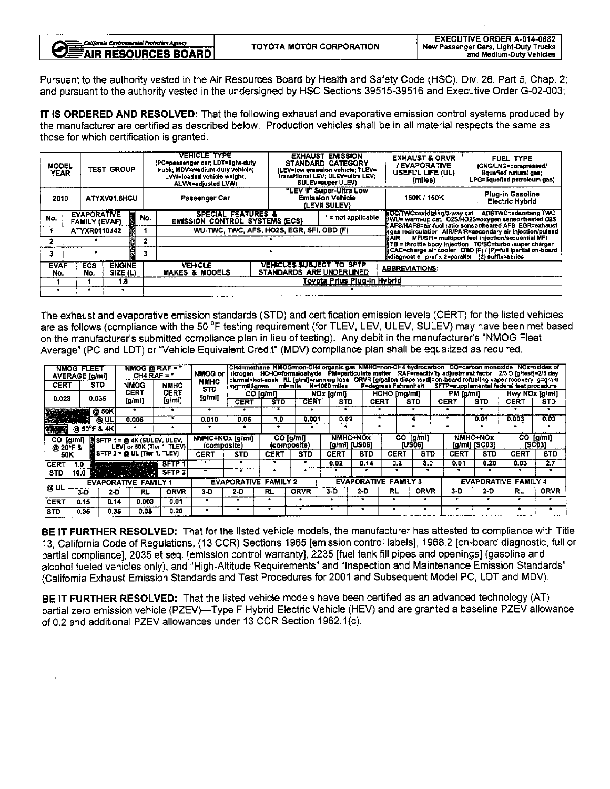| California Environmental Protection Agency<br><b>VE AIR RESOURCES BOARD</b> | TOYOTA MOTOR CORPORATION | <b>EXECUTIVE ORDER A-014-0682</b><br>New Passenger Cars, Light-Duty Trucks<br>and Medium-Duty Vehicles |
|-----------------------------------------------------------------------------|--------------------------|--------------------------------------------------------------------------------------------------------|
|                                                                             |                          |                                                                                                        |

Pursuant to the authority vested in the Air Resources Board by Health and Safety Code (HSC), Div. 26, Part 5, Chap. 2; and pursuant to the authority vested in the undersigned by HSC Sections 39515-39516 and Executive Order G-02-003;

IT IS ORDERED AND RESOLVED: That the following exhaust and evaporative emission control systems produced by the manufacturer are certified as described below. Production vehicles shall be in all material respects the same as those for which certification is granted

| <b>MODEL</b><br><b>YEAR</b> |  | <b>TEST GROUP</b> |                                            |           | <b>VEHICLE TYPE</b><br>(PC=passenger car; LDT=light-duty<br>truck: MDV=medium-duty vehicle:<br>LVW=loaded vehicle weight:<br>ALVW=adjusted LVW) |                                           | <b>EXHAUST EMISSION</b><br><b>STANDARD CATEGORY</b><br>(LEV=low emission vehicle: TLEV=<br>transitional LEV; ULEV=ultra LEV;<br>SULEV=super ULEV)                                 | <b>EXHAUST &amp; ORVR</b><br>/ EVAPORATIVE<br>USEFUL LIFE (UL)<br>(miles)                                       | FUEL TYPE<br>(CNG/LNG=compressed/<br>liquefied natural gas;<br>LPG=liquefied petroleum gas)                                                                       |  |  |  |  |  |
|-----------------------------|--|-------------------|--------------------------------------------|-----------|-------------------------------------------------------------------------------------------------------------------------------------------------|-------------------------------------------|-----------------------------------------------------------------------------------------------------------------------------------------------------------------------------------|-----------------------------------------------------------------------------------------------------------------|-------------------------------------------------------------------------------------------------------------------------------------------------------------------|--|--|--|--|--|
| ATYXV01.8HCU<br>2010        |  |                   |                                            |           | Passenger Car                                                                                                                                   |                                           | "LEV II" Super-Ultra Low<br><b>Emission Vehicle</b><br>(LEVII SULEV)                                                                                                              | 150K / 150K                                                                                                     | Plug-in Gasoline<br>Electric Hybrid                                                                                                                               |  |  |  |  |  |
| No.                         |  |                   | <b>EVAPORATIVE</b><br><b>FAMILY (EVAF)</b> | i.<br>No. | <b>SPECIAL FEATURES &amp;</b><br><b>EMISSION CONTROL SYSTEMS (ECS)</b>                                                                          |                                           | * = not applicable                                                                                                                                                                |                                                                                                                 | HOC/TWC=oxidizing/3-way cat. ADSTWC=adsorbing TWC<br>NWU≖ warm-up cat. O2S/HO2S=oxygen sensor/heated O2S<br>AFS/HAFS=air-fuel ratio sensor/heated AFS_EGR=exhaust |  |  |  |  |  |
|                             |  |                   | ATYXR0110J42                               |           |                                                                                                                                                 | WU-TWC, TWC, AFS, HO2S, EGR, SFI, OBD (F) | Agas recirculation AIR/PAIR=secondary air injection/pulsed<br>MFI/SFI= multiport fuel injection/sequential MFI<br>MAIR<br>打BI= throttle body inlection TC/SC=turbo /super charger |                                                                                                                 |                                                                                                                                                                   |  |  |  |  |  |
|                             |  |                   |                                            |           |                                                                                                                                                 |                                           |                                                                                                                                                                                   |                                                                                                                 |                                                                                                                                                                   |  |  |  |  |  |
|                             |  |                   |                                            |           |                                                                                                                                                 |                                           |                                                                                                                                                                                   | la CAC=charge air cooler OBD (F) / (P)=full /partial on-board<br>diagnostic prefix 2=parallel (2) suffix=series |                                                                                                                                                                   |  |  |  |  |  |
| <b>EVAF</b><br>No.          |  | <b>ECS</b><br>No. | <b>ENGINE</b><br>SIZE (L)                  |           | <b>VEHICLE</b><br><b>MAKES &amp; MODELS</b>                                                                                                     |                                           | <b>VEHICLES SUBJECT TO SFTP</b><br>STANDARDS ARE UNDERLINED                                                                                                                       | <b>ABBREVIATIONS:</b>                                                                                           |                                                                                                                                                                   |  |  |  |  |  |
|                             |  |                   | 1.8                                        |           |                                                                                                                                                 | Toyota Prius Plug-in Hybrid               |                                                                                                                                                                                   |                                                                                                                 |                                                                                                                                                                   |  |  |  |  |  |
|                             |  |                   |                                            |           |                                                                                                                                                 |                                           |                                                                                                                                                                                   |                                                                                                                 |                                                                                                                                                                   |  |  |  |  |  |

The exhaust and evaporative emission standards  $(31D)$  and certification emission levels  $(CER)$  for the listed vehicles are as follows (compliance with the 50 F testing requirement (for TLEV, LEV, ULEV, SULEV) may have been met based on the manufacturer's submitted compliance plan in lieu of testing). Any debit in the manufacturer's "NMOG Fleet Average" (PC and LDT) or "Vehicle Equivalent Credit" (MDV) compliance plan shall be equalized as required.

| NMOG @ RAF = $*$<br>NMOG FLEE1<br>CH4 RAF = $*$<br><b>AVERAGE</b> [g/mi] |             |                             | NMOG or                                                              | CH4=methane NMOG=non-CH4 organic gas NMHC=non-CH4 hydrocarbon CO=carbon monoxide NOx=oxides of<br>nitrogen _ HCHO=formaldehyde _ PM=particulate matter _ RAF=reactivity adjustment factor _ 2/3 D [g/test]=2/3 day<br>.<br>∣diumal+hot-soak_ RL [g/mi]≔running loss_ ORVR [g/gallon dispensed]=on-board refueling vapor recovery_g=gram |                           |                                                            |                                                                                                             |             |                                  |              |                                                            |                                |             |                           |                |                     |  |
|--------------------------------------------------------------------------|-------------|-----------------------------|----------------------------------------------------------------------|-----------------------------------------------------------------------------------------------------------------------------------------------------------------------------------------------------------------------------------------------------------------------------------------------------------------------------------------|---------------------------|------------------------------------------------------------|-------------------------------------------------------------------------------------------------------------|-------------|----------------------------------|--------------|------------------------------------------------------------|--------------------------------|-------------|---------------------------|----------------|---------------------|--|
| <b>CERT</b>                                                              |             | <b>STD</b>                  | <b>NMOG</b>                                                          | <b>NMHC</b>                                                                                                                                                                                                                                                                                                                             | <b>NMHC</b><br><b>STD</b> |                                                            | F=degrees Fahrenheit<br>SFTP=supplamental federal test procedure<br>K=1000 miles<br>mi≖mile<br>mg=milligram |             |                                  |              |                                                            |                                |             |                           |                |                     |  |
|                                                                          |             | 0.035                       | CERT<br>$\left[\mathbf{g}/\mathbf{m}\right]$                         | <b>CERT</b><br>[g/mi]                                                                                                                                                                                                                                                                                                                   | [g/mi]                    |                                                            | CO [g/ml]                                                                                                   |             | NOx [g/ml]                       |              | HCHO [mg/ml]                                               |                                | PM [g/mi]   |                           | Hwy NOx [g/ml] |                     |  |
| 0.028                                                                    |             |                             |                                                                      |                                                                                                                                                                                                                                                                                                                                         |                           | <b>CERT</b>                                                | <b>STD</b>                                                                                                  | <b>CERT</b> | STD.                             |              | <b>CERT</b>                                                | <b>STD</b>                     | <b>CERT</b> | STD                       | CERT           | <b>STD</b>          |  |
|                                                                          |             | @ 50K                       | ٠                                                                    |                                                                                                                                                                                                                                                                                                                                         | $\cdot$                   |                                                            | $\bullet$                                                                                                   | ٠           | ٠                                |              |                                                            |                                |             |                           |                |                     |  |
|                                                                          |             | @ UL                        | 0.006                                                                | ÷                                                                                                                                                                                                                                                                                                                                       | 0.010                     | 0.06                                                       | 1.0                                                                                                         | 0.001       | 0.02                             |              | ٠                                                          |                                |             | 0.01                      | 0.003          | 0.03                |  |
|                                                                          | @ 50°F & 4K |                             |                                                                      | ٠                                                                                                                                                                                                                                                                                                                                       | ۰                         | ۰                                                          |                                                                                                             | ۰           |                                  |              |                                                            |                                |             |                           | ۰              |                     |  |
| CO.<br>[g/ml]<br>@ 20 F &                                                |             |                             | $\ddot{B}$ SFTP 1 = @ 4K (SULEV, ULEV,<br>LEV) or 50K (Tier 1, TLEV) |                                                                                                                                                                                                                                                                                                                                         |                           | CO [g/mi]<br>NMHC+NOx [q/mi]<br>(composite)<br>(composite) |                                                                                                             |             | <b>NMHC+NOx</b><br>[g/mi] [US06] |              |                                                            | CO.<br>[g/ml]<br><b>IUSO61</b> |             | NMHC+NOx<br>[q/mi] [SC03] |                | CO [g/mi]<br>[SC03] |  |
| 50K                                                                      |             |                             | SFTP 2 = @ UL (Tier 1, TLEV)                                         |                                                                                                                                                                                                                                                                                                                                         | <b>CERT</b>               | <b>STD</b>                                                 | CERT                                                                                                        | <b>STD</b>  | CERT                             | <b>STD</b>   |                                                            | <b>CERT</b><br><b>STD</b>      | <b>CERT</b> | <b>STD</b>                | <b>CERT</b>    | <b>STD</b>          |  |
| <b>CERT</b>                                                              | 1.0         |                             | <b>SALES TAKE</b>                                                    | <b>SFTP</b>                                                                                                                                                                                                                                                                                                                             |                           |                                                            |                                                                                                             |             | 0.02                             | 0.14         |                                                            | 0.2<br>8.0                     | 0.01        | 0.20                      | 0.03           | 2.7                 |  |
| <b>STD</b>                                                               | 10.0        |                             | <u>in Martin y</u>                                                   | SFTP <sub>2</sub>                                                                                                                                                                                                                                                                                                                       | ۰                         |                                                            |                                                                                                             |             |                                  |              |                                                            |                                |             |                           |                |                     |  |
|                                                                          |             | <b>EVAPORATIVE FAMILY 1</b> |                                                                      |                                                                                                                                                                                                                                                                                                                                         |                           | <b>EVAPORATIVE FAMILY 2</b>                                |                                                                                                             |             |                                  |              | <b>EVAPORATIVE FAMILY 3</b><br><b>EVAPORATIVE FAMILY 4</b> |                                |             |                           |                |                     |  |
| ∣@ UL                                                                    | $3-D$       | 2-D                         | RL                                                                   | ORVR                                                                                                                                                                                                                                                                                                                                    | 3-D                       | 2-D                                                        | RL                                                                                                          | <b>ORVR</b> | 3-D                              | $2-D$        | RL                                                         | <b>ORVR</b>                    | 3-D         | $2-D$                     | RL             | <b>ORVR</b>         |  |
| <b>CERT</b>                                                              | 0.15        | 0.14                        | 0.003                                                                | 0.01                                                                                                                                                                                                                                                                                                                                    |                           |                                                            |                                                                                                             |             |                                  | $\bullet$    |                                                            | $\bullet$                      | ۰           |                           |                |                     |  |
| <b>ISTD</b>                                                              | 0.35        | 0.35                        | 0.05                                                                 | 0.20                                                                                                                                                                                                                                                                                                                                    | *                         |                                                            | ٠                                                                                                           | *           |                                  | $\mathbf{r}$ | ۰                                                          | ۰                              |             |                           |                | ۰.                  |  |

BE IT FURTHER RESOLVED: That for the listed vehicle models, the manufacturer has attested to compliance with Title 13, California Code of Regulations, (13 CCR) Sections 1965 [emission control labels], 1968.2 [on-board diagnostic, full or partial compliance], 2035 et seq. [emission control warranty], 2235 [fuel tank fill pipes and openings] (gasoline and alcohol fueled vehicles only), and "High-Altitude Requirements" and "Inspection and Maintenance Emission Standards" (California Exhaust Emission Standards and Test Procedures for 2001 and Subsequent Model PC, LDT and MDV).

BE IT FURTHER RESOLVED: That the listed vehicle models have been certified as an advanced technology (AT) partial zero emission vehicle (PZEV)-Type F Hybrid Electric Vehicle (HEV) and are granted a baseline PZEV allowance of 0.2 and additional PZEV allowances under 13 CCR Section 1962.1(c).